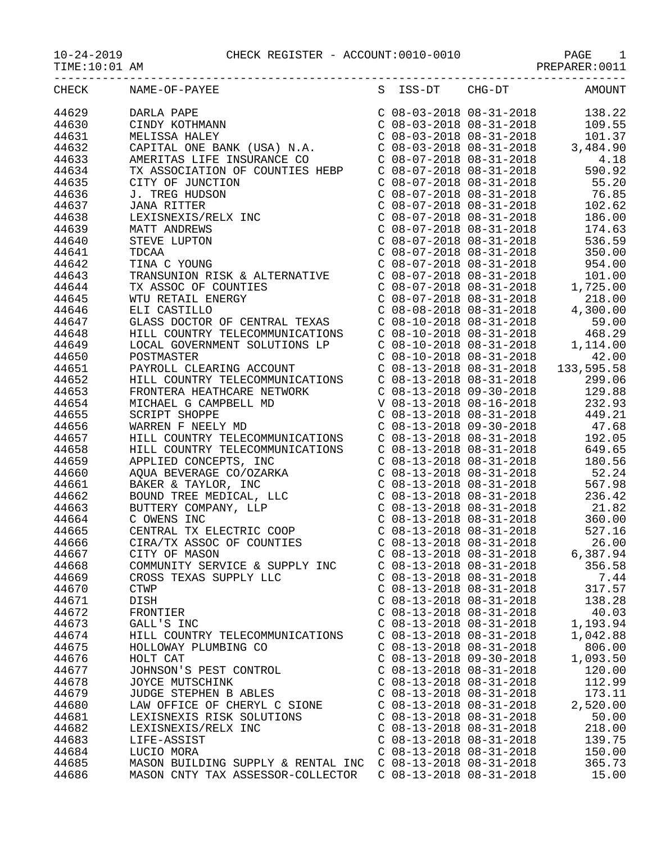| $10 - 24 - 2019$ | CHI |
|------------------|-----|

|                | 10-24-2019 CHECK REGISTER - ACCOUNT:0010-0010 PAGE 1<br>TIME:10:01 AM PREPARER:0011                                                                                                                                                                                     |                                                        |                 |
|----------------|-------------------------------------------------------------------------------------------------------------------------------------------------------------------------------------------------------------------------------------------------------------------------|--------------------------------------------------------|-----------------|
|                | $\begin{tabular}{l ll ll } \hline 110.19 & 044640 & 044640 & 044640 & 044640 & 044640 & 044640 & 044640 & 044640 & 044640 & 044640 & 044640 & 044640 & 044640 & 044640 & 044640 & 044640 & 044640 & 044640 & 044640 & 044640 & 044640 & 044640 & 044640 & 044640 & 044$ |                                                        |                 |
|                |                                                                                                                                                                                                                                                                         |                                                        |                 |
|                |                                                                                                                                                                                                                                                                         |                                                        |                 |
|                |                                                                                                                                                                                                                                                                         |                                                        |                 |
|                |                                                                                                                                                                                                                                                                         |                                                        |                 |
|                |                                                                                                                                                                                                                                                                         |                                                        |                 |
|                |                                                                                                                                                                                                                                                                         |                                                        |                 |
|                |                                                                                                                                                                                                                                                                         |                                                        |                 |
|                |                                                                                                                                                                                                                                                                         |                                                        |                 |
|                |                                                                                                                                                                                                                                                                         |                                                        |                 |
|                |                                                                                                                                                                                                                                                                         |                                                        |                 |
|                |                                                                                                                                                                                                                                                                         |                                                        |                 |
|                |                                                                                                                                                                                                                                                                         |                                                        |                 |
|                |                                                                                                                                                                                                                                                                         |                                                        |                 |
|                |                                                                                                                                                                                                                                                                         |                                                        |                 |
|                |                                                                                                                                                                                                                                                                         |                                                        |                 |
|                |                                                                                                                                                                                                                                                                         |                                                        |                 |
|                |                                                                                                                                                                                                                                                                         |                                                        |                 |
|                |                                                                                                                                                                                                                                                                         |                                                        |                 |
|                |                                                                                                                                                                                                                                                                         |                                                        |                 |
|                |                                                                                                                                                                                                                                                                         |                                                        |                 |
|                |                                                                                                                                                                                                                                                                         |                                                        |                 |
|                |                                                                                                                                                                                                                                                                         |                                                        |                 |
|                |                                                                                                                                                                                                                                                                         |                                                        |                 |
|                |                                                                                                                                                                                                                                                                         |                                                        |                 |
|                |                                                                                                                                                                                                                                                                         |                                                        |                 |
|                |                                                                                                                                                                                                                                                                         |                                                        |                 |
|                |                                                                                                                                                                                                                                                                         |                                                        |                 |
|                |                                                                                                                                                                                                                                                                         |                                                        |                 |
|                |                                                                                                                                                                                                                                                                         |                                                        |                 |
|                |                                                                                                                                                                                                                                                                         |                                                        |                 |
|                |                                                                                                                                                                                                                                                                         |                                                        |                 |
|                |                                                                                                                                                                                                                                                                         |                                                        |                 |
|                |                                                                                                                                                                                                                                                                         |                                                        |                 |
|                |                                                                                                                                                                                                                                                                         |                                                        |                 |
|                |                                                                                                                                                                                                                                                                         |                                                        |                 |
| 44665          | CENTRAL TX ELECTRIC COOP                                                                                                                                                                                                                                                | $C$ 08-13-2018 08-31-2018                              | 527.16          |
| 44666          | CIRA/TX ASSOC OF COUNTIES                                                                                                                                                                                                                                               | $C$ 08-13-2018 08-31-2018                              | 26.00           |
| 44667          | CITY OF MASON                                                                                                                                                                                                                                                           | $C$ 08-13-2018 08-31-2018                              | 6,387.94        |
| 44668          | COMMUNITY SERVICE & SUPPLY INC                                                                                                                                                                                                                                          | $C$ 08-13-2018 08-31-2018                              | 356.58          |
| 44669          | CROSS TEXAS SUPPLY LLC                                                                                                                                                                                                                                                  | C 08-13-2018 08-31-2018                                | 7.44            |
| 44670          | <b>CTWP</b>                                                                                                                                                                                                                                                             | $C$ 08-13-2018 08-31-2018<br>$C$ 08-13-2018 08-31-2018 | 317.57          |
| 44671<br>44672 | DISH<br>FRONTIER                                                                                                                                                                                                                                                        | C 08-13-2018 08-31-2018                                | 138.28<br>40.03 |
| 44673          | GALL'S INC                                                                                                                                                                                                                                                              | $C$ 08-13-2018 08-31-2018                              | 1,193.94        |
| 44674          | HILL COUNTRY TELECOMMUNICATIONS                                                                                                                                                                                                                                         | $C$ 08-13-2018 08-31-2018                              | 1,042.88        |
| 44675          | HOLLOWAY PLUMBING CO                                                                                                                                                                                                                                                    | $C$ 08-13-2018 08-31-2018                              | 806.00          |
| 44676          | HOLT CAT                                                                                                                                                                                                                                                                | $C$ 08-13-2018 09-30-2018                              | 1,093.50        |
| 44677          | JOHNSON'S PEST CONTROL                                                                                                                                                                                                                                                  | $C$ 08-13-2018 08-31-2018                              | 120.00          |
| 44678          | JOYCE MUTSCHINK                                                                                                                                                                                                                                                         | $C$ 08-13-2018 08-31-2018                              | 112.99          |
| 44679          | JUDGE STEPHEN B ABLES                                                                                                                                                                                                                                                   | $C$ 08-13-2018 08-31-2018                              | 173.11          |
| 44680          | LAW OFFICE OF CHERYL C SIONE                                                                                                                                                                                                                                            | $C$ 08-13-2018 08-31-2018                              | 2,520.00        |
| 44681          | LEXISNEXIS RISK SOLUTIONS                                                                                                                                                                                                                                               | $C$ 08-13-2018 08-31-2018                              | 50.00           |
| 44682          | LEXISNEXIS/RELX INC                                                                                                                                                                                                                                                     | $C$ 08-13-2018 08-31-2018                              | 218.00          |
| 44683          | LIFE-ASSIST                                                                                                                                                                                                                                                             | $C$ 08-13-2018 08-31-2018                              | 139.75          |
| 44684          | LUCIO MORA                                                                                                                                                                                                                                                              | $C$ 08-13-2018 08-31-2018                              | 150.00          |
| 44685          | MASON BUILDING SUPPLY & RENTAL INC C 08-13-2018 08-31-2018                                                                                                                                                                                                              |                                                        | 365.73          |
| 44686          | MASON CNTY TAX ASSESSOR-COLLECTOR                                                                                                                                                                                                                                       | $C$ 08-13-2018 08-31-2018                              | 15.00           |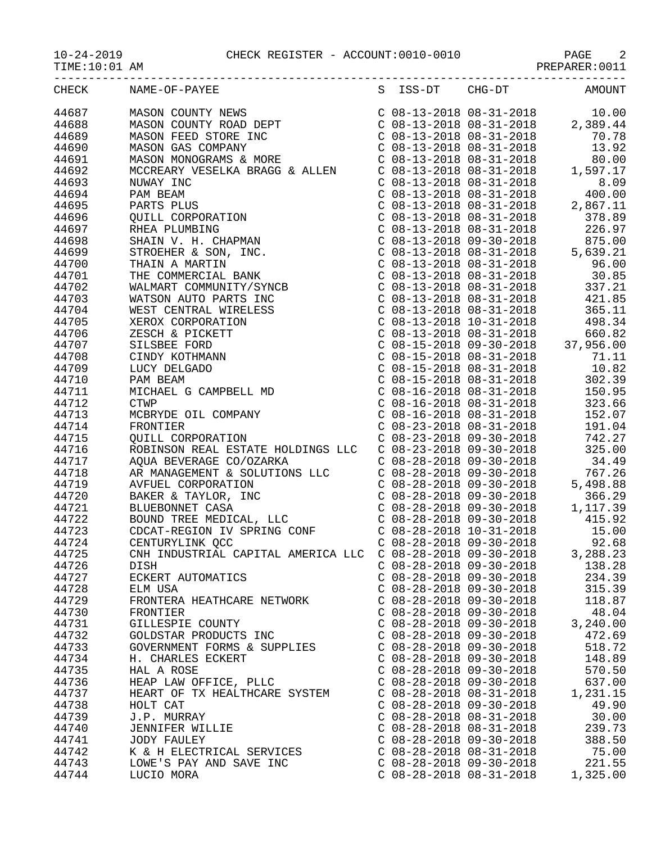10-24-2019 CHECK REGISTER - ACCOUNT:0010-0010 PAGE 2

|                | CHECK NAME-OF-PAYEE           |                                                        |                           | S ISS-DT CHG-DT AMOUNT |
|----------------|-------------------------------|--------------------------------------------------------|---------------------------|------------------------|
|                |                               |                                                        |                           |                        |
|                |                               |                                                        |                           |                        |
|                |                               |                                                        |                           |                        |
|                |                               |                                                        |                           |                        |
|                |                               |                                                        |                           |                        |
|                |                               |                                                        |                           |                        |
|                |                               |                                                        |                           |                        |
|                |                               |                                                        |                           |                        |
|                |                               |                                                        |                           |                        |
|                |                               |                                                        |                           |                        |
|                |                               |                                                        |                           |                        |
|                |                               |                                                        |                           |                        |
|                |                               |                                                        |                           |                        |
|                |                               |                                                        |                           |                        |
|                |                               |                                                        |                           |                        |
|                |                               |                                                        |                           |                        |
|                |                               |                                                        |                           |                        |
|                |                               |                                                        |                           |                        |
|                |                               |                                                        |                           |                        |
|                |                               |                                                        |                           |                        |
|                |                               |                                                        |                           |                        |
|                |                               |                                                        |                           |                        |
|                |                               |                                                        |                           |                        |
|                |                               |                                                        |                           |                        |
|                |                               |                                                        |                           |                        |
|                |                               |                                                        |                           |                        |
|                |                               |                                                        |                           |                        |
|                |                               |                                                        |                           |                        |
|                |                               |                                                        |                           |                        |
|                |                               |                                                        |                           |                        |
|                |                               |                                                        |                           |                        |
|                |                               |                                                        |                           |                        |
|                |                               |                                                        |                           |                        |
|                |                               |                                                        |                           |                        |
|                |                               |                                                        |                           |                        |
|                |                               |                                                        |                           |                        |
|                |                               |                                                        |                           |                        |
|                |                               |                                                        |                           |                        |
|                |                               |                                                        |                           |                        |
| 44726          | DISH                          | $C$ 08-28-2018 09-30-2018                              |                           | 138.28                 |
| 44727          | ECKERT AUTOMATICS             |                                                        | $C$ 08-28-2018 09-30-2018 | 234.39                 |
| 44728          | ELM USA                       |                                                        | $C$ 08-28-2018 09-30-2018 | 315.39                 |
| 44729          | FRONTERA HEATHCARE NETWORK    |                                                        | $C$ 08-28-2018 09-30-2018 | 118.87                 |
| 44730          | FRONTIER<br>GILLESPIE COUNTY  | $C$ 08-28-2018 09-30-2018<br>$C$ 08-28-2018 09-30-2018 |                           | 48.04                  |
| 44731<br>44732 | GOLDSTAR PRODUCTS INC         | $C$ 08-28-2018 09-30-2018                              |                           | 3,240.00               |
| 44733          | GOVERNMENT FORMS & SUPPLIES   | $C$ 08-28-2018 09-30-2018                              |                           | 472.69<br>518.72       |
| 44734          | H. CHARLES ECKERT             |                                                        | $C$ 08-28-2018 09-30-2018 | 148.89                 |
| 44735          | HAL A ROSE                    |                                                        | $C$ 08-28-2018 09-30-2018 | 570.50                 |
| 44736          | HEAP LAW OFFICE, PLLC         |                                                        | $C$ 08-28-2018 09-30-2018 | 637.00                 |
| 44737          | HEART OF TX HEALTHCARE SYSTEM |                                                        | $C$ 08-28-2018 08-31-2018 | 1,231.15               |
| 44738          | HOLT CAT                      | $C$ 08-28-2018 09-30-2018                              |                           | 49.90                  |
| 44739          | J.P. MURRAY                   |                                                        | $C$ 08-28-2018 08-31-2018 | 30.00                  |
| 44740          | JENNIFER WILLIE               |                                                        | $C$ 08-28-2018 08-31-2018 | 239.73                 |
| 44741          | JODY FAULEY                   |                                                        | $C$ 08-28-2018 09-30-2018 | 388.50                 |
| 44742          | K & H ELECTRICAL SERVICES     | $C$ 08-28-2018 08-31-2018                              |                           | 75.00                  |
| 44743          | LOWE'S PAY AND SAVE INC       | $C$ 08-28-2018 09-30-2018                              |                           | 221.55                 |
|                |                               |                                                        |                           |                        |

44744 LUCIO MORA C 08-28-2018 08-31-2018 1,325.00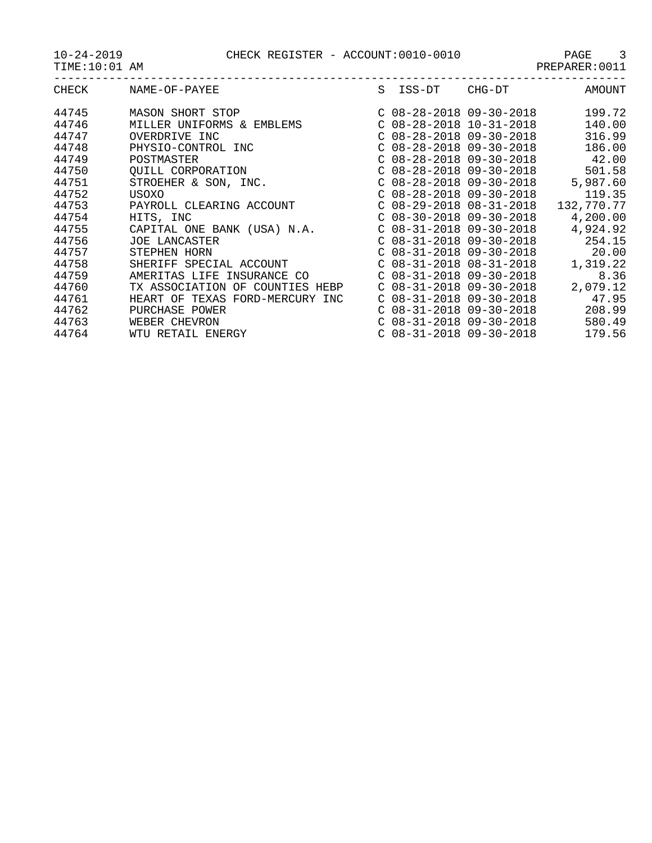TIME:10:01 AM PREPARER:0011

| CHECK                            | NAME-OF-PAYEE                                                                               | S. | ISS-DT                                                                                                           | CHG-DT                    | AMOUNT                               |
|----------------------------------|---------------------------------------------------------------------------------------------|----|------------------------------------------------------------------------------------------------------------------|---------------------------|--------------------------------------|
| 44745<br>44746<br>44747<br>44748 | <b>MASON SHORT STOP</b><br>MILLER UNIFORMS & EMBLEMS<br>OVERDRIVE INC<br>PHYSIO-CONTROL INC |    | $C$ 08-28-2018 09-30-2018<br>$C$ 08-28-2018 10-31-2018<br>$C$ 08-28-2018 09-30-2018<br>$C$ 08-28-2018 09-30-2018 |                           | 199.72<br>140.00<br>316.99<br>186.00 |
| 44749<br>44750                   | POSTMASTER<br>OUILL CORPORATION                                                             |    | $C$ 08-28-2018 09-30-2018<br>$C$ 08-28-2018 09-30-2018                                                           |                           | 42.00<br>501.58                      |
| 44751<br>44752                   | STROEHER & SON, INC.<br>USOXO                                                               |    | $C$ 08-28-2018 09-30-2018<br>$C$ 08-28-2018 09-30-2018                                                           |                           | 5,987.60<br>119.35                   |
| 44753<br>44754                   | PAYROLL CLEARING ACCOUNT<br>HITS, INC                                                       |    | $C$ 08-30-2018 09-30-2018                                                                                        | $C$ 08-29-2018 08-31-2018 | 132,770.77<br>4,200.00               |
| 44755<br>44756<br>44757          | CAPITAL ONE BANK (USA) N.A.<br><b>JOE LANCASTER</b><br>STEPHEN HORN                         |    | $C$ 08-31-2018 09-30-2018<br>$C$ 08-31-2018 09-30-2018<br>$C$ 08-31-2018 09-30-2018                              |                           | 4,924.92<br>254.15<br>20.00          |
| 44758<br>44759                   | SHERIFF SPECIAL ACCOUNT<br>AMERITAS LIFE INSURANCE CO                                       |    | $C$ 08-31-2018 08-31-2018<br>$C$ 08-31-2018 09-30-2018                                                           |                           | 1,319.22<br>8.36                     |
| 44760<br>44761                   | TX ASSOCIATION OF COUNTIES HEBP<br>HEART OF TEXAS FORD-MERCURY INC                          |    | $C$ 08-31-2018 09-30-2018<br>$C$ 08-31-2018 09-30-2018                                                           |                           | 2,079.12<br>47.95                    |
| 44762<br>44763<br>44764          | PURCHASE POWER<br>WEBER CHEVRON<br>WTU RETAIL ENERGY                                        |    | $C$ 08-31-2018 09-30-2018<br>$C$ 08-31-2018 09-30-2018<br>$C$ 08-31-2018 09-30-2018                              |                           | 208.99<br>580.49<br>179.56           |
|                                  |                                                                                             |    |                                                                                                                  |                           |                                      |